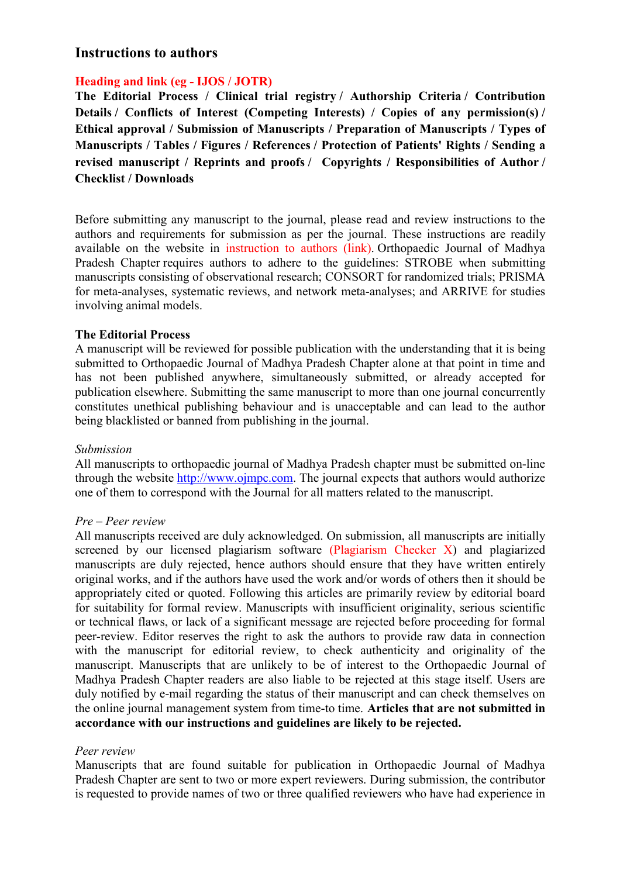# **Instructions to authors**

### **Heading and link (eg - IJOS / JOTR)**

**The Editorial Process / Clinical trial registry / Authorship Criteria / Contribution Details / Conflicts of Interest (Competing Interests) / Copies of any permission(s) / Ethical approval / Submission of Manuscripts / Preparation of Manuscripts / Types of Manuscripts / Tables / Figures / References / Protection of Patients' Rights / Sending a revised manuscript / Reprints and proofs / Copyrights / Responsibilities of Author / Checklist / Downloads** 

Before submitting any manuscript to the journal, please read and review instructions to the authors and requirements for submission as per the journal. These instructions are readily available on the website in instruction to authors (link). Orthopaedic Journal of Madhya Pradesh Chapter requires authors to adhere to the guidelines: STROBE when submitting manuscripts consisting of observational research; CONSORT for randomized trials; PRISMA for meta-analyses, systematic reviews, and network meta-analyses; and ARRIVE for studies involving animal models.

### **The Editorial Process**

A manuscript will be reviewed for possible publication with the understanding that it is being submitted to Orthopaedic Journal of Madhya Pradesh Chapter alone at that point in time and has not been published anywhere, simultaneously submitted, or already accepted for publication elsewhere. Submitting the same manuscript to more than one journal concurrently constitutes unethical publishing behaviour and is unacceptable and can lead to the author being blacklisted or banned from publishing in the journal.

### *Submission*

All manuscripts to orthopaedic journal of Madhya Pradesh chapter must be submitted on-line through the website http://www.ojmpc.com. The journal expects that authors would authorize one of them to correspond with the Journal for all matters related to the manuscript.

### *Pre – Peer review*

All manuscripts received are duly acknowledged. On submission, all manuscripts are initially screened by our licensed plagiarism software (Plagiarism Checker X) and plagiarized manuscripts are duly rejected, hence authors should ensure that they have written entirely original works, and if the authors have used the work and/or words of others then it should be appropriately cited or quoted. Following this articles are primarily review by editorial board for suitability for formal review. Manuscripts with insufficient originality, serious scientific or technical flaws, or lack of a significant message are rejected before proceeding for formal peer-review. Editor reserves the right to ask the authors to provide raw data in connection with the manuscript for editorial review, to check authenticity and originality of the manuscript. Manuscripts that are unlikely to be of interest to the Orthopaedic Journal of Madhya Pradesh Chapter readers are also liable to be rejected at this stage itself. Users are duly notified by e-mail regarding the status of their manuscript and can check themselves on the online journal management system from time-to time. **Articles that are not submitted in accordance with our instructions and guidelines are likely to be rejected.** 

### *Peer review*

Manuscripts that are found suitable for publication in Orthopaedic Journal of Madhya Pradesh Chapter are sent to two or more expert reviewers. During submission, the contributor is requested to provide names of two or three qualified reviewers who have had experience in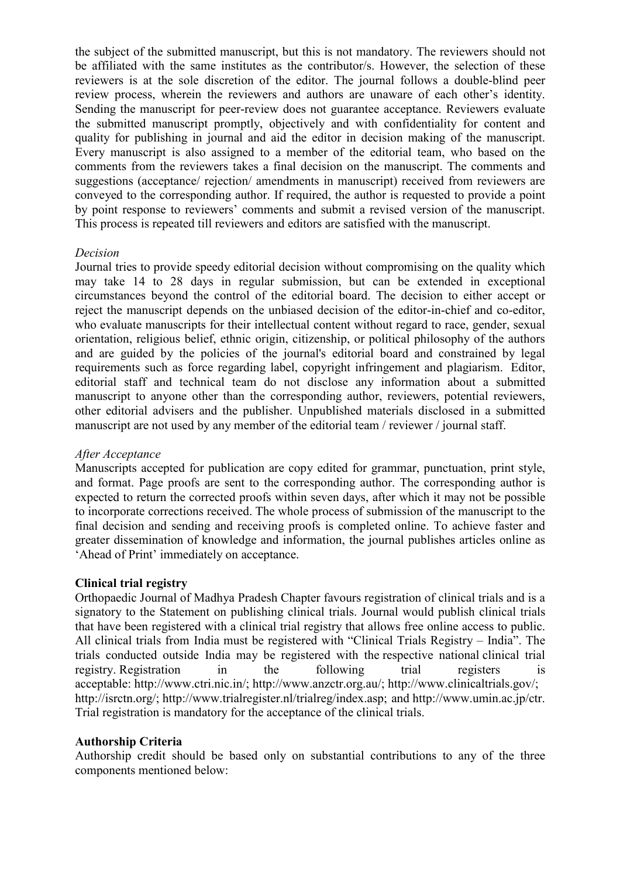the subject of the submitted manuscript, but this is not mandatory. The reviewers should not be affiliated with the same institutes as the contributor/s. However, the selection of these reviewers is at the sole discretion of the editor. The journal follows a double-blind peer review process, wherein the reviewers and authors are unaware of each other's identity. Sending the manuscript for peer-review does not guarantee acceptance. Reviewers evaluate the submitted manuscript promptly, objectively and with confidentiality for content and quality for publishing in journal and aid the editor in decision making of the manuscript. Every manuscript is also assigned to a member of the editorial team, who based on the comments from the reviewers takes a final decision on the manuscript. The comments and suggestions (acceptance/ rejection/ amendments in manuscript) received from reviewers are conveyed to the corresponding author. If required, the author is requested to provide a point by point response to reviewers' comments and submit a revised version of the manuscript. This process is repeated till reviewers and editors are satisfied with the manuscript.

#### *Decision*

Journal tries to provide speedy editorial decision without compromising on the quality which may take 14 to 28 days in regular submission, but can be extended in exceptional circumstances beyond the control of the editorial board. The decision to either accept or reject the manuscript depends on the unbiased decision of the editor-in-chief and co-editor, who evaluate manuscripts for their intellectual content without regard to race, gender, sexual orientation, religious belief, ethnic origin, citizenship, or political philosophy of the authors and are guided by the policies of the journal's editorial board and constrained by legal requirements such as force regarding label, copyright infringement and plagiarism. Editor, editorial staff and technical team do not disclose any information about a submitted manuscript to anyone other than the corresponding author, reviewers, potential reviewers, other editorial advisers and the publisher. Unpublished materials disclosed in a submitted manuscript are not used by any member of the editorial team / reviewer / journal staff.

### *After Acceptance*

Manuscripts accepted for publication are copy edited for grammar, punctuation, print style, and format. Page proofs are sent to the corresponding author. The corresponding author is expected to return the corrected proofs within seven days, after which it may not be possible to incorporate corrections received. The whole process of submission of the manuscript to the final decision and sending and receiving proofs is completed online. To achieve faster and greater dissemination of knowledge and information, the journal publishes articles online as 'Ahead of Print' immediately on acceptance.

#### **Clinical trial registry**

Orthopaedic Journal of Madhya Pradesh Chapter favours registration of clinical trials and is a signatory to the Statement on publishing clinical trials. Journal would publish clinical trials that have been registered with a clinical trial registry that allows free online access to public. All clinical trials from India must be registered with "Clinical Trials Registry – India". The trials conducted outside India may be registered with the respective national clinical trial registry. Registration in the following trial registers is acceptable: http://www.ctri.nic.in/; http://www.anzctr.org.au/; http://www.clinicaltrials.gov/; http://isrctn.org/; http://www.trialregister.nl/trialreg/index.asp; and http://www.umin.ac.jp/ctr. Trial registration is mandatory for the acceptance of the clinical trials.

#### **Authorship Criteria**

Authorship credit should be based only on substantial contributions to any of the three components mentioned below: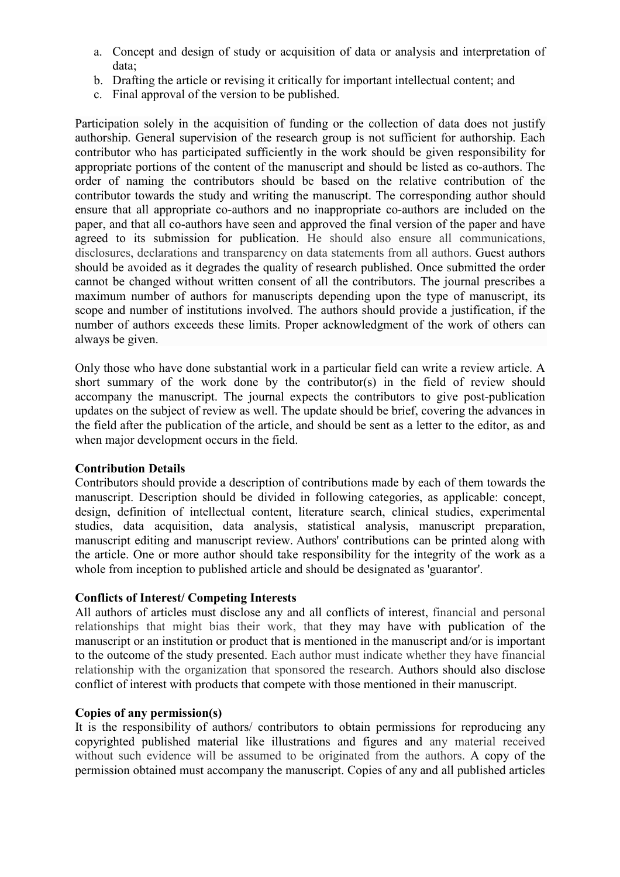- a. Concept and design of study or acquisition of data or analysis and interpretation of data;
- b. Drafting the article or revising it critically for important intellectual content; and
- c. Final approval of the version to be published.

Participation solely in the acquisition of funding or the collection of data does not justify authorship. General supervision of the research group is not sufficient for authorship. Each contributor who has participated sufficiently in the work should be given responsibility for appropriate portions of the content of the manuscript and should be listed as co-authors. The order of naming the contributors should be based on the relative contribution of the contributor towards the study and writing the manuscript. The corresponding author should ensure that all appropriate co-authors and no inappropriate co-authors are included on the paper, and that all co-authors have seen and approved the final version of the paper and have agreed to its submission for publication. He should also ensure all communications, disclosures, declarations and transparency on data statements from all authors. Guest authors should be avoided as it degrades the quality of research published. Once submitted the order cannot be changed without written consent of all the contributors. The journal prescribes a maximum number of authors for manuscripts depending upon the type of manuscript, its scope and number of institutions involved. The authors should provide a justification, if the number of authors exceeds these limits. Proper acknowledgment of the work of others can always be given.

Only those who have done substantial work in a particular field can write a review article. A short summary of the work done by the contributor(s) in the field of review should accompany the manuscript. The journal expects the contributors to give post-publication updates on the subject of review as well. The update should be brief, covering the advances in the field after the publication of the article, and should be sent as a letter to the editor, as and when major development occurs in the field.

## **Contribution Details**

Contributors should provide a description of contributions made by each of them towards the manuscript. Description should be divided in following categories, as applicable: concept, design, definition of intellectual content, literature search, clinical studies, experimental studies, data acquisition, data analysis, statistical analysis, manuscript preparation, manuscript editing and manuscript review. Authors' contributions can be printed along with the article. One or more author should take responsibility for the integrity of the work as a whole from inception to published article and should be designated as 'guarantor'.

## **Conflicts of Interest/ Competing Interests**

All authors of articles must disclose any and all conflicts of interest, financial and personal relationships that might bias their work, that they may have with publication of the manuscript or an institution or product that is mentioned in the manuscript and/or is important to the outcome of the study presented. Each author must indicate whether they have financial relationship with the organization that sponsored the research. Authors should also disclose conflict of interest with products that compete with those mentioned in their manuscript.

### **Copies of any permission(s)**

It is the responsibility of authors/ contributors to obtain permissions for reproducing any copyrighted published material like illustrations and figures and any material received without such evidence will be assumed to be originated from the authors. A copy of the permission obtained must accompany the manuscript. Copies of any and all published articles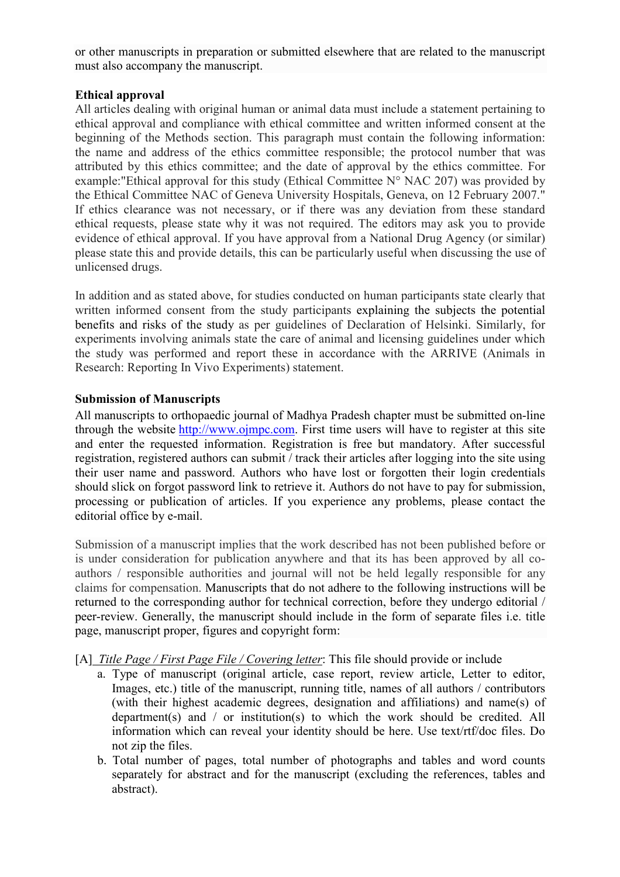or other manuscripts in preparation or submitted elsewhere that are related to the manuscript must also accompany the manuscript.

### **Ethical approval**

All articles dealing with original human or animal data must include a statement pertaining to ethical approval and compliance with ethical committee and written informed consent at the beginning of the Methods section. This paragraph must contain the following information: the name and address of the ethics committee responsible; the protocol number that was attributed by this ethics committee; and the date of approval by the ethics committee. For example: "Ethical approval for this study (Ethical Committee  $N^{\circ}$  NAC 207) was provided by the Ethical Committee NAC of Geneva University Hospitals, Geneva, on 12 February 2007." If ethics clearance was not necessary, or if there was any deviation from these standard ethical requests, please state why it was not required. The editors may ask you to provide evidence of ethical approval. If you have approval from a National Drug Agency (or similar) please state this and provide details, this can be particularly useful when discussing the use of unlicensed drugs.

In addition and as stated above, for studies conducted on human participants state clearly that written informed consent from the study participants explaining the subjects the potential benefits and risks of the study as per guidelines of Declaration of Helsinki. Similarly, for experiments involving animals state the care of animal and licensing guidelines under which the study was performed and report these in accordance with the ARRIVE (Animals in Research: Reporting In Vivo Experiments) statement.

### **Submission of Manuscripts**

All manuscripts to orthopaedic journal of Madhya Pradesh chapter must be submitted on-line through the website http://www.ojmpc.com. First time users will have to register at this site and enter the requested information. Registration is free but mandatory. After successful registration, registered authors can submit / track their articles after logging into the site using their user name and password. Authors who have lost or forgotten their login credentials should slick on forgot password link to retrieve it. Authors do not have to pay for submission, processing or publication of articles. If you experience any problems, please contact the editorial office by e-mail.

Submission of a manuscript implies that the work described has not been published before or is under consideration for publication anywhere and that its has been approved by all coauthors / responsible authorities and journal will not be held legally responsible for any claims for compensation. Manuscripts that do not adhere to the following instructions will be returned to the corresponding author for technical correction, before they undergo editorial / peer-review. Generally, the manuscript should include in the form of separate files i.e. title page, manuscript proper, figures and copyright form:

- [A] *Title Page / First Page File / Covering letter*: This file should provide or include
	- a. Type of manuscript (original article, case report, review article, Letter to editor, Images, etc.) title of the manuscript, running title, names of all authors / contributors (with their highest academic degrees, designation and affiliations) and name(s) of department(s) and / or institution(s) to which the work should be credited. All information which can reveal your identity should be here. Use text/rtf/doc files. Do not zip the files.
	- b. Total number of pages, total number of photographs and tables and word counts separately for abstract and for the manuscript (excluding the references, tables and abstract).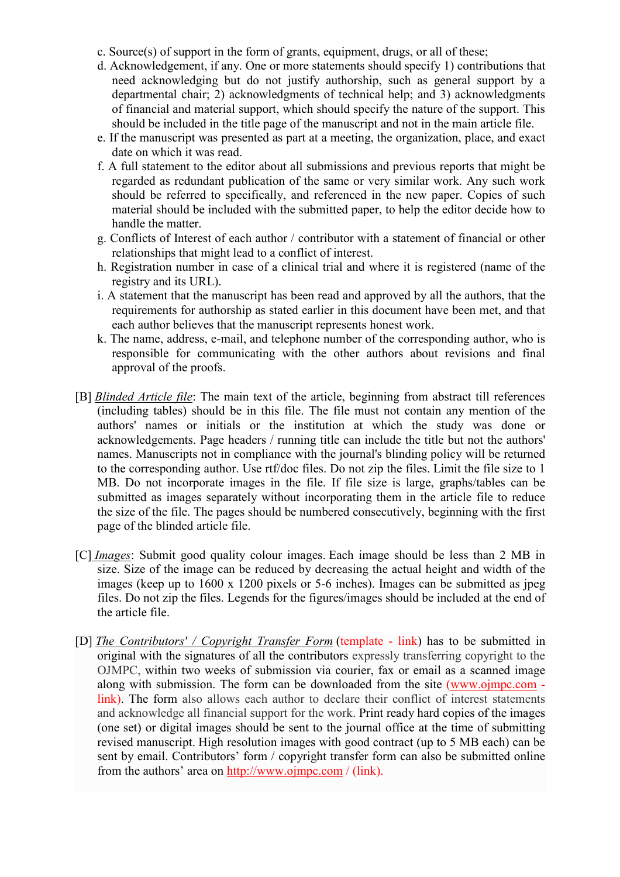- c. Source(s) of support in the form of grants, equipment, drugs, or all of these;
- d. Acknowledgement, if any. One or more statements should specify 1) contributions that need acknowledging but do not justify authorship, such as general support by a departmental chair; 2) acknowledgments of technical help; and 3) acknowledgments of financial and material support, which should specify the nature of the support. This should be included in the title page of the manuscript and not in the main article file.
- e. If the manuscript was presented as part at a meeting, the organization, place, and exact date on which it was read.
- f. A full statement to the editor about all submissions and previous reports that might be regarded as redundant publication of the same or very similar work. Any such work should be referred to specifically, and referenced in the new paper. Copies of such material should be included with the submitted paper, to help the editor decide how to handle the matter.
- g. Conflicts of Interest of each author / contributor with a statement of financial or other relationships that might lead to a conflict of interest.
- h. Registration number in case of a clinical trial and where it is registered (name of the registry and its URL).
- i. A statement that the manuscript has been read and approved by all the authors, that the requirements for authorship as stated earlier in this document have been met, and that each author believes that the manuscript represents honest work.
- k. The name, address, e-mail, and telephone number of the corresponding author, who is responsible for communicating with the other authors about revisions and final approval of the proofs.
- [B] *Blinded Article file*: The main text of the article, beginning from abstract till references (including tables) should be in this file. The file must not contain any mention of the authors' names or initials or the institution at which the study was done or acknowledgements. Page headers / running title can include the title but not the authors' names. Manuscripts not in compliance with the journal's blinding policy will be returned to the corresponding author. Use rtf/doc files. Do not zip the files. Limit the file size to 1 MB. Do not incorporate images in the file. If file size is large, graphs/tables can be submitted as images separately without incorporating them in the article file to reduce the size of the file. The pages should be numbered consecutively, beginning with the first page of the blinded article file.
- [C] *Images*: Submit good quality colour images. Each image should be less than 2 MB in size. Size of the image can be reduced by decreasing the actual height and width of the images (keep up to 1600 x 1200 pixels or 5-6 inches). Images can be submitted as jpeg files. Do not zip the files. Legends for the figures/images should be included at the end of the article file.
- [D] *The Contributors' / Copyright Transfer Form* (template link) has to be submitted in original with the signatures of all the contributors expressly transferring copyright to the OJMPC, within two weeks of submission via courier, fax or email as a scanned image along with submission. The form can be downloaded from the site (www.ojmpc.com link). The form also allows each author to declare their conflict of interest statements and acknowledge all financial support for the work. Print ready hard copies of the images (one set) or digital images should be sent to the journal office at the time of submitting revised manuscript. High resolution images with good contract (up to 5 MB each) can be sent by email. Contributors' form / copyright transfer form can also be submitted online from the authors' area on http://www.ojmpc.com / (link).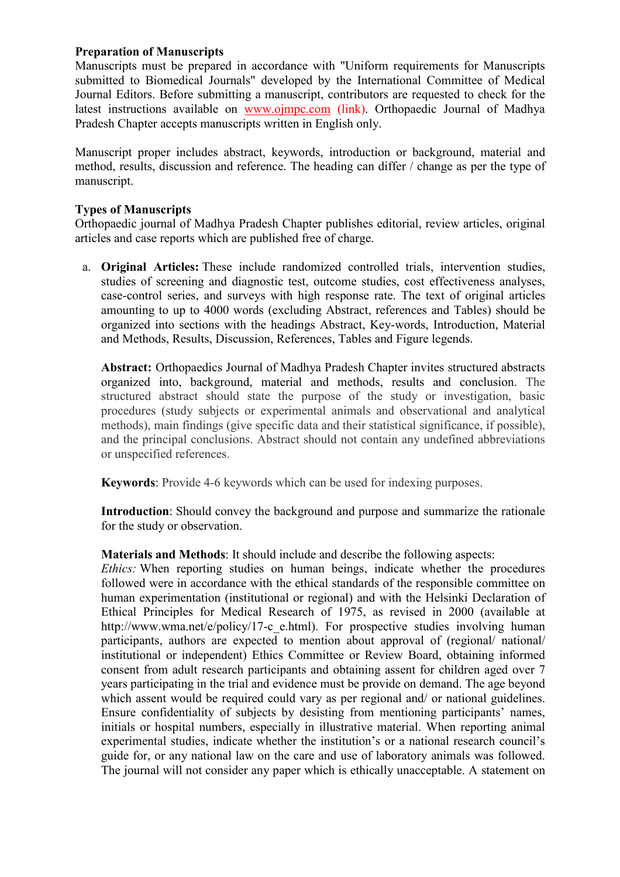### **Preparation of Manuscripts**

Manuscripts must be prepared in accordance with "Uniform requirements for Manuscripts submitted to Biomedical Journals" developed by the International Committee of Medical Journal Editors. Before submitting a manuscript, contributors are requested to check for the latest instructions available on www.ojmpc.com (link). Orthopaedic Journal of Madhya Pradesh Chapter accepts manuscripts written in English only.

Manuscript proper includes abstract, keywords, introduction or background, material and method, results, discussion and reference. The heading can differ / change as per the type of manuscript.

### **Types of Manuscripts**

Orthopaedic journal of Madhya Pradesh Chapter publishes editorial, review articles, original articles and case reports which are published free of charge.

a. **Original Articles:** These include randomized controlled trials, intervention studies, studies of screening and diagnostic test, outcome studies, cost effectiveness analyses, case-control series, and surveys with high response rate. The text of original articles amounting to up to 4000 words (excluding Abstract, references and Tables) should be organized into sections with the headings Abstract, Key-words, Introduction, Material and Methods, Results, Discussion, References, Tables and Figure legends.

**Abstract:** Orthopaedics Journal of Madhya Pradesh Chapter invites structured abstracts organized into, background, material and methods, results and conclusion. The structured abstract should state the purpose of the study or investigation, basic procedures (study subjects or experimental animals and observational and analytical methods), main findings (give specific data and their statistical significance, if possible), and the principal conclusions. Abstract should not contain any undefined abbreviations or unspecified references.

**Keywords**: Provide 4-6 keywords which can be used for indexing purposes.

**Introduction**: Should convey the background and purpose and summarize the rationale for the study or observation.

**Materials and Methods**: It should include and describe the following aspects:

*Ethics:* When reporting studies on human beings, indicate whether the procedures followed were in accordance with the ethical standards of the responsible committee on human experimentation (institutional or regional) and with the Helsinki Declaration of Ethical Principles for Medical Research of 1975, as revised in 2000 (available at http://www.wma.net/e/policy/17-c\_e.html). For prospective studies involving human participants, authors are expected to mention about approval of (regional/ national/ institutional or independent) Ethics Committee or Review Board, obtaining informed consent from adult research participants and obtaining assent for children aged over 7 years participating in the trial and evidence must be provide on demand. The age beyond which assent would be required could vary as per regional and/ or national guidelines. Ensure confidentiality of subjects by desisting from mentioning participants' names, initials or hospital numbers, especially in illustrative material. When reporting animal experimental studies, indicate whether the institution's or a national research council's guide for, or any national law on the care and use of laboratory animals was followed. The journal will not consider any paper which is ethically unacceptable. A statement on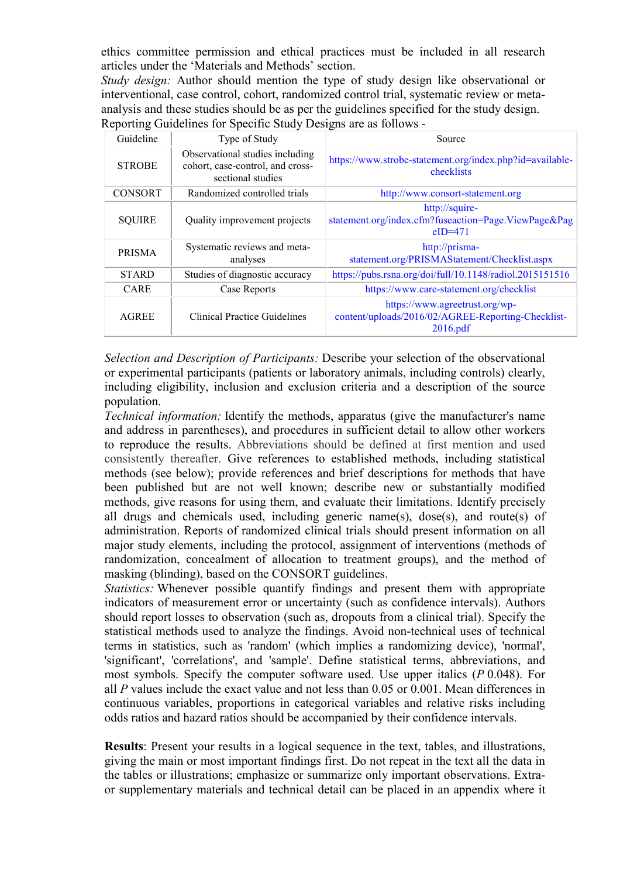ethics committee permission and ethical practices must be included in all research articles under the 'Materials and Methods' section.

*Study design:* Author should mention the type of study design like observational or interventional, case control, cohort, randomized control trial, systematic review or metaanalysis and these studies should be as per the guidelines specified for the study design. Reporting Guidelines for Specific Study Designs are as follows -

| Guideline      | Type of Study                                                                            | Source                                                                                           |
|----------------|------------------------------------------------------------------------------------------|--------------------------------------------------------------------------------------------------|
| <b>STROBE</b>  | Observational studies including<br>cohort, case-control, and cross-<br>sectional studies | https://www.strobe-statement.org/index.php?id=available-<br>checklists                           |
| <b>CONSORT</b> | Randomized controlled trials                                                             | http://www.consort-statement.org                                                                 |
| <b>SQUIRE</b>  | Quality improvement projects                                                             | http://squire-<br>statement.org/index.cfm?fuseaction=Page.ViewPage&Pag<br>$eID=471$              |
| <b>PRISMA</b>  | Systematic reviews and meta-<br>analyses                                                 | http://prisma-<br>statement.org/PRISMAStatement/Checklist.aspx                                   |
| <b>STARD</b>   | Studies of diagnostic accuracy                                                           | https://pubs.rsna.org/doi/full/10.1148/radiol.2015151516                                         |
| <b>CARE</b>    | Case Reports                                                                             | https://www.care-statement.org/checklist                                                         |
| <b>AGREE</b>   | Clinical Practice Guidelines                                                             | https://www.agreetrust.org/wp-<br>content/uploads/2016/02/AGREE-Reporting-Checklist-<br>2016.pdf |

*Selection and Description of Participants:* Describe your selection of the observational or experimental participants (patients or laboratory animals, including controls) clearly, including eligibility, inclusion and exclusion criteria and a description of the source population.

*Technical information:* Identify the methods, apparatus (give the manufacturer's name and address in parentheses), and procedures in sufficient detail to allow other workers to reproduce the results. Abbreviations should be defined at first mention and used consistently thereafter. Give references to established methods, including statistical methods (see below); provide references and brief descriptions for methods that have been published but are not well known; describe new or substantially modified methods, give reasons for using them, and evaluate their limitations. Identify precisely all drugs and chemicals used, including generic name(s), dose(s), and route(s) of administration. Reports of randomized clinical trials should present information on all major study elements, including the protocol, assignment of interventions (methods of randomization, concealment of allocation to treatment groups), and the method of masking (blinding), based on the CONSORT guidelines.

*Statistics:* Whenever possible quantify findings and present them with appropriate indicators of measurement error or uncertainty (such as confidence intervals). Authors should report losses to observation (such as, dropouts from a clinical trial). Specify the statistical methods used to analyze the findings. Avoid non-technical uses of technical terms in statistics, such as 'random' (which implies a randomizing device), 'normal', 'significant', 'correlations', and 'sample'. Define statistical terms, abbreviations, and most symbols. Specify the computer software used. Use upper italics (*P* 0.048). For all *P* values include the exact value and not less than 0.05 or 0.001. Mean differences in continuous variables, proportions in categorical variables and relative risks including odds ratios and hazard ratios should be accompanied by their confidence intervals.

**Results**: Present your results in a logical sequence in the text, tables, and illustrations, giving the main or most important findings first. Do not repeat in the text all the data in the tables or illustrations; emphasize or summarize only important observations. Extraor supplementary materials and technical detail can be placed in an appendix where it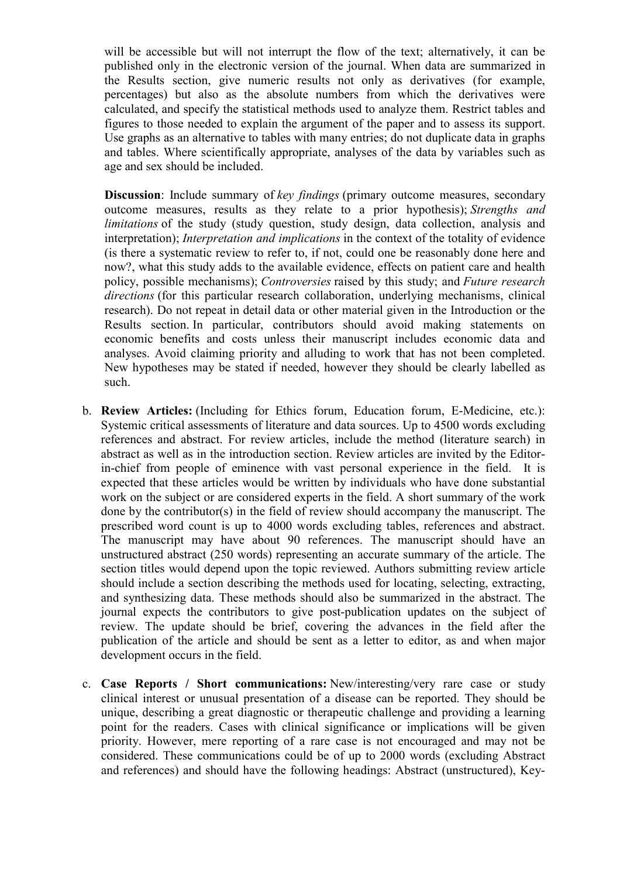will be accessible but will not interrupt the flow of the text; alternatively, it can be published only in the electronic version of the journal. When data are summarized in the Results section, give numeric results not only as derivatives (for example, percentages) but also as the absolute numbers from which the derivatives were calculated, and specify the statistical methods used to analyze them. Restrict tables and figures to those needed to explain the argument of the paper and to assess its support. Use graphs as an alternative to tables with many entries; do not duplicate data in graphs and tables. Where scientifically appropriate, analyses of the data by variables such as age and sex should be included.

**Discussion**: Include summary of *key findings* (primary outcome measures, secondary outcome measures, results as they relate to a prior hypothesis); *Strengths and limitations* of the study (study question, study design, data collection, analysis and interpretation); *Interpretation and implications* in the context of the totality of evidence (is there a systematic review to refer to, if not, could one be reasonably done here and now?, what this study adds to the available evidence, effects on patient care and health policy, possible mechanisms); *Controversies* raised by this study; and *Future research directions* (for this particular research collaboration, underlying mechanisms, clinical research). Do not repeat in detail data or other material given in the Introduction or the Results section. In particular, contributors should avoid making statements on economic benefits and costs unless their manuscript includes economic data and analyses. Avoid claiming priority and alluding to work that has not been completed. New hypotheses may be stated if needed, however they should be clearly labelled as such.

- b. **Review Articles:** (Including for Ethics forum, Education forum, E-Medicine, etc.): Systemic critical assessments of literature and data sources. Up to 4500 words excluding references and abstract. For review articles, include the method (literature search) in abstract as well as in the introduction section. Review articles are invited by the Editorin-chief from people of eminence with vast personal experience in the field. It is expected that these articles would be written by individuals who have done substantial work on the subject or are considered experts in the field. A short summary of the work done by the contributor(s) in the field of review should accompany the manuscript. The prescribed word count is up to 4000 words excluding tables, references and abstract. The manuscript may have about 90 references. The manuscript should have an unstructured abstract (250 words) representing an accurate summary of the article. The section titles would depend upon the topic reviewed. Authors submitting review article should include a section describing the methods used for locating, selecting, extracting, and synthesizing data. These methods should also be summarized in the abstract. The journal expects the contributors to give post-publication updates on the subject of review. The update should be brief, covering the advances in the field after the publication of the article and should be sent as a letter to editor, as and when major development occurs in the field.
- c. **Case Reports / Short communications:** New/interesting/very rare case or study clinical interest or unusual presentation of a disease can be reported. They should be unique, describing a great diagnostic or therapeutic challenge and providing a learning point for the readers. Cases with clinical significance or implications will be given priority. However, mere reporting of a rare case is not encouraged and may not be considered. These communications could be of up to 2000 words (excluding Abstract and references) and should have the following headings: Abstract (unstructured), Key-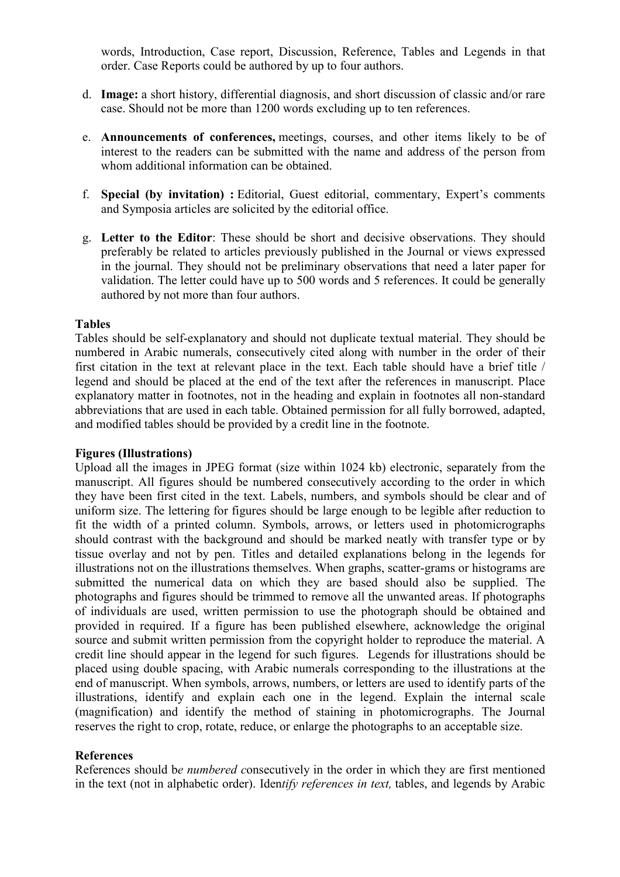words, Introduction, Case report, Discussion, Reference, Tables and Legends in that order. Case Reports could be authored by up to four authors.

- d. **Image:** a short history, differential diagnosis, and short discussion of classic and/or rare case. Should not be more than 1200 words excluding up to ten references.
- e. **Announcements of conferences,** meetings, courses, and other items likely to be of interest to the readers can be submitted with the name and address of the person from whom additional information can be obtained.
- f. **Special (by invitation) :** Editorial, Guest editorial, commentary, Expert's comments and Symposia articles are solicited by the editorial office.
- g. **Letter to the Editor**: These should be short and decisive observations. They should preferably be related to articles previously published in the Journal or views expressed in the journal. They should not be preliminary observations that need a later paper for validation. The letter could have up to 500 words and 5 references. It could be generally authored by not more than four authors.

### **Tables**

Tables should be self-explanatory and should not duplicate textual material. They should be numbered in Arabic numerals, consecutively cited along with number in the order of their first citation in the text at relevant place in the text. Each table should have a brief title / legend and should be placed at the end of the text after the references in manuscript. Place explanatory matter in footnotes, not in the heading and explain in footnotes all non-standard abbreviations that are used in each table. Obtained permission for all fully borrowed, adapted, and modified tables should be provided by a credit line in the footnote.

### **Figures (Illustrations)**

Upload all the images in JPEG format (size within 1024 kb) electronic, separately from the manuscript. All figures should be numbered consecutively according to the order in which they have been first cited in the text. Labels, numbers, and symbols should be clear and of uniform size. The lettering for figures should be large enough to be legible after reduction to fit the width of a printed column. Symbols, arrows, or letters used in photomicrographs should contrast with the background and should be marked neatly with transfer type or by tissue overlay and not by pen. Titles and detailed explanations belong in the legends for illustrations not on the illustrations themselves. When graphs, scatter-grams or histograms are submitted the numerical data on which they are based should also be supplied. The photographs and figures should be trimmed to remove all the unwanted areas. If photographs of individuals are used, written permission to use the photograph should be obtained and provided in required. If a figure has been published elsewhere, acknowledge the original source and submit written permission from the copyright holder to reproduce the material. A credit line should appear in the legend for such figures.Legends for illustrations should be placed using double spacing, with Arabic numerals corresponding to the illustrations at the end of manuscript. When symbols, arrows, numbers, or letters are used to identify parts of the illustrations, identify and explain each one in the legend. Explain the internal scale (magnification) and identify the method of staining in photomicrographs. The Journal reserves the right to crop, rotate, reduce, or enlarge the photographs to an acceptable size.

### **References**

References should b*e numbered c*onsecutively in the order in which they are first mentioned in the text (not in alphabetic order). Iden*tify references in text,* tables, and legends by Arabic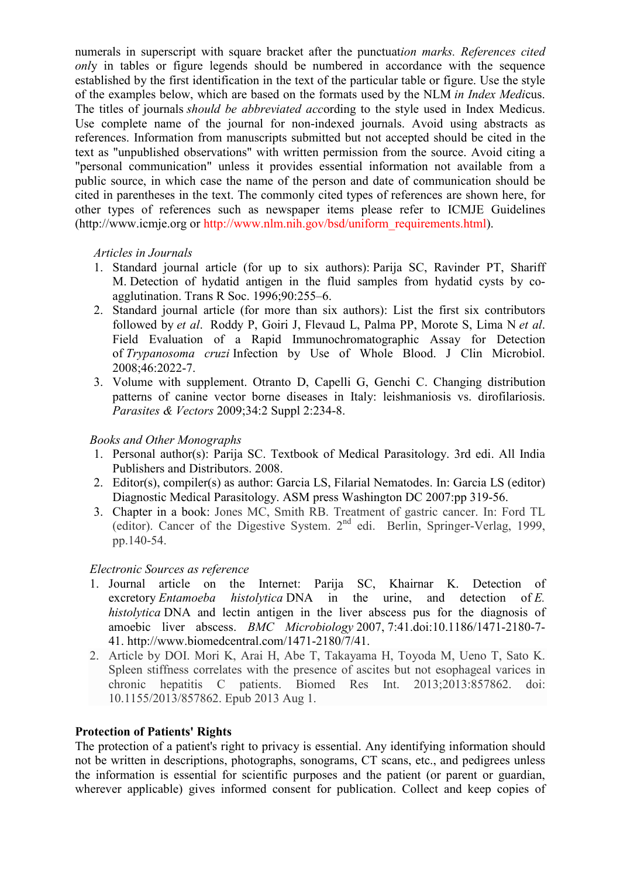numerals in superscript with square bracket after the punctuat*ion marks. References cited only* in tables or figure legends should be numbered in accordance with the sequence established by the first identification in the text of the particular table or figure. Use the style of the examples below, which are based on the formats used by the NLM *in Index Medi*cus. The titles of journals *should be abbreviated acc*ording to the style used in Index Medicus. Use complete name of the journal for non-indexed journals. Avoid using abstracts as references. Information from manuscripts submitted but not accepted should be cited in the text as "unpublished observations" with written permission from the source. Avoid citing a "personal communication" unless it provides essential information not available from a public source, in which case the name of the person and date of communication should be cited in parentheses in the text. The commonly cited types of references are shown here, for other types of references such as newspaper items please refer to ICMJE Guidelines (http://www.icmje.org or http://www.nlm.nih.gov/bsd/uniform\_requirements.html).

### *Articles in Journals*

- 1. Standard journal article (for up to six authors): Parija SC, Ravinder PT, Shariff M. Detection of hydatid antigen in the fluid samples from hydatid cysts by coagglutination. Trans R Soc. 1996;90:255–6.
- 2. Standard journal article (for more than six authors): List the first six contributors followed by *et al*. Roddy P, Goiri J, Flevaud L, Palma PP, Morote S, Lima N *et al*. Field Evaluation of a Rapid Immunochromatographic Assay for Detection of *Trypanosoma cruzi* Infection by Use of Whole Blood. J Clin Microbiol. 2008;46:2022-7.
- 3. Volume with supplement. Otranto D, Capelli G, Genchi C. Changing distribution patterns of canine vector borne diseases in Italy: leishmaniosis vs. dirofilariosis. *Parasites & Vectors* 2009;34:2 Suppl 2:234-8.

## *Books and Other Monographs*

- 1. Personal author(s): Parija SC. Textbook of Medical Parasitology. 3rd edi. All India Publishers and Distributors. 2008.
- 2. Editor(s), compiler(s) as author: Garcia LS, Filarial Nematodes. In: Garcia LS (editor) Diagnostic Medical Parasitology. ASM press Washington DC 2007:pp 319-56.
- 3. Chapter in a book: Jones MC, Smith RB. Treatment of gastric cancer. In: Ford TL (editor). Cancer of the Digestive System.  $2<sup>nd</sup>$  edi. Berlin, Springer-Verlag, 1999, pp.140-54.

## *Electronic Sources as reference*

- 1. Journal article on the Internet: Parija SC, Khairnar K. Detection of excretory *Entamoeba histolytica* DNA in the urine, and detection of *E. histolytica* DNA and lectin antigen in the liver abscess pus for the diagnosis of amoebic liver abscess. *BMC Microbiology* 2007, 7:41.doi:10.1186/1471-2180-7- 41. http://www.biomedcentral.com/1471-2180/7/41.
- 2. Article by DOI. Mori K, Arai H, Abe T, Takayama H, Toyoda M, Ueno T, Sato K. Spleen stiffness correlates with the presence of ascites but not esophageal varices in chronic hepatitis C patients. Biomed Res Int. 2013;2013:857862. doi: 10.1155/2013/857862. Epub 2013 Aug 1.

### **Protection of Patients' Rights**

The protection of a patient's right to privacy is essential. Any identifying information should not be written in descriptions, photographs, sonograms, CT scans, etc., and pedigrees unless the information is essential for scientific purposes and the patient (or parent or guardian, wherever applicable) gives informed consent for publication. Collect and keep copies of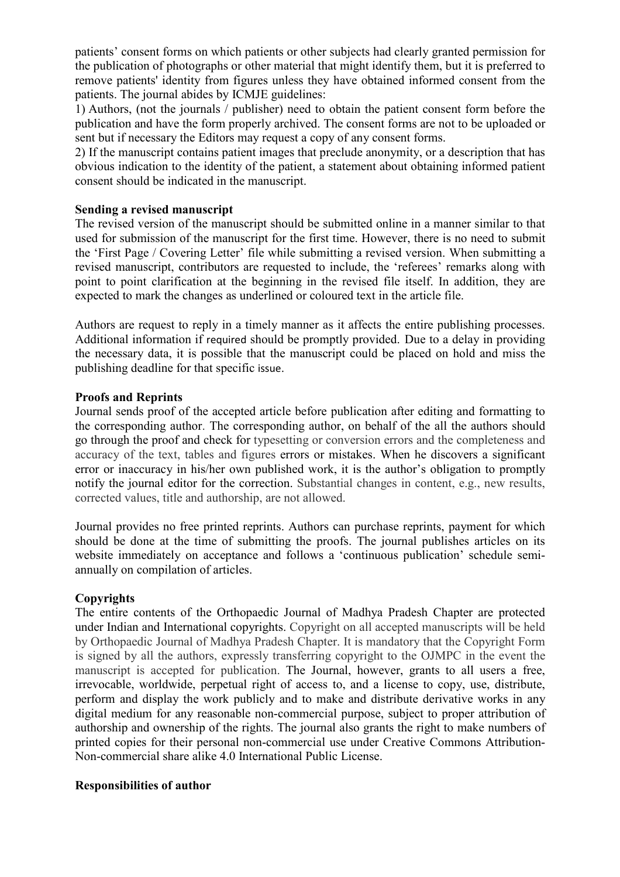patients' consent forms on which patients or other subjects had clearly granted permission for the publication of photographs or other material that might identify them, but it is preferred to remove patients' identity from figures unless they have obtained informed consent from the patients. The journal abides by ICMJE guidelines:

1) Authors, (not the journals / publisher) need to obtain the patient consent form before the publication and have the form properly archived. The consent forms are not to be uploaded or sent but if necessary the Editors may request a copy of any consent forms.

2) If the manuscript contains patient images that preclude anonymity, or a description that has obvious indication to the identity of the patient, a statement about obtaining informed patient consent should be indicated in the manuscript.

### **Sending a revised manuscript**

The revised version of the manuscript should be submitted online in a manner similar to that used for submission of the manuscript for the first time. However, there is no need to submit the 'First Page / Covering Letter' file while submitting a revised version. When submitting a revised manuscript, contributors are requested to include, the 'referees' remarks along with point to point clarification at the beginning in the revised file itself. In addition, they are expected to mark the changes as underlined or coloured text in the article file.

Authors are request to reply in a timely manner as it affects the entire publishing processes. Additional information if required should be promptly provided. Due to a delay in providing the necessary data, it is possible that the manuscript could be placed on hold and miss the publishing deadline for that specific issue.

### **Proofs and Reprints**

Journal sends proof of the accepted article before publication after editing and formatting to the corresponding author. The corresponding author, on behalf of the all the authors should go through the proof and check for typesetting or conversion errors and the completeness and accuracy of the text, tables and figures errors or mistakes. When he discovers a significant error or inaccuracy in his/her own published work, it is the author's obligation to promptly notify the journal editor for the correction. Substantial changes in content, e.g., new results, corrected values, title and authorship, are not allowed.

Journal provides no free printed reprints. Authors can purchase reprints, payment for which should be done at the time of submitting the proofs. The journal publishes articles on its website immediately on acceptance and follows a 'continuous publication' schedule semiannually on compilation of articles.

## **Copyrights**

The entire contents of the Orthopaedic Journal of Madhya Pradesh Chapter are protected under Indian and International copyrights. Copyright on all accepted manuscripts will be held by Orthopaedic Journal of Madhya Pradesh Chapter. It is mandatory that the Copyright Form is signed by all the authors, expressly transferring copyright to the OJMPC in the event the manuscript is accepted for publication. The Journal, however, grants to all users a free, irrevocable, worldwide, perpetual right of access to, and a license to copy, use, distribute, perform and display the work publicly and to make and distribute derivative works in any digital medium for any reasonable non-commercial purpose, subject to proper attribution of authorship and ownership of the rights. The journal also grants the right to make numbers of printed copies for their personal non-commercial use under Creative Commons Attribution-Non-commercial share alike 4.0 International Public License.

## **Responsibilities of author**